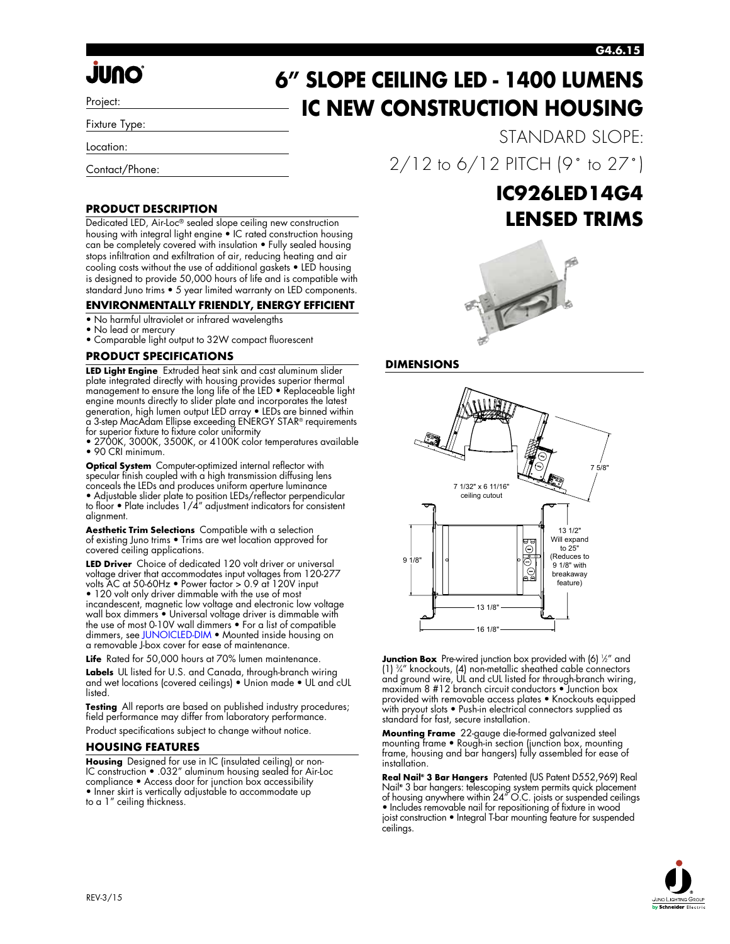#### **G4.6.15**

# *<u>JUNO</u>*

Project:

Fixture Type:

Location:

Contact/Phone:

#### **PRODUCT DESCRIPTION**

Dedicated LED, Air-Loc® sealed slope ceiling new construction housing with integral light engine • IC rated construction housing can be completely covered with insulation • Fully sealed housing stops infiltration and exfiltration of air, reducing heating and air cooling costs without the use of additional gaskets • LED housing is designed to provide 50,000 hours of life and is compatible with standard Juno trims • 5 year limited warranty on LED components.

#### **ENVIRONMENTALLY FRIENDLY, ENERGY EFFICIENT**

- No harmful ultraviolet or infrared wavelengths
- No lead or mercury
- Comparable light output to 32W compact fluorescent

#### **PRODUCT SPECIFICATIONS**

**LED Light Engine** Extruded heat sink and cast aluminum slider plate integrated directly with housing provides superior thermal management to ensure the long life of the LED • Replaceable light engine mounts directly to slider plate and incorporates the latest generation, high lumen output LED array • LEDs are binned within a 3-step MacAdam Ellipse exceeding ENERGY STAR® requirements for superior fixture to fixture color uniformity

• 2700K, 3000K, 3500K, or 4100K color temperatures available • 90 CRI minimum.

**Optical System** Computer-optimized internal reflector with specular finish coupled with a high transmission diffusing lens conceals the LEDs and produces uniform aperture luminance • Adjustable slider plate to position LEDs/reflector perpendicular to floor • Plate includes 1/4" adjustment indicators for consistent alignment.

**Aesthetic Trim Selections** Compatible with a selection of existing Juno trims • Trims are wet location approved for covered ceiling applications.

**LED Driver** Choice of dedicated 120 volt driver or universal voltage driver that accommodates input voltages from 120-277 volts AC at 50-60Hz • Power factor > 0.9 at 120V input • 120 volt only driver dimmable with the use of most incandescent, magnetic low voltage and electronic low voltage wall box dimmers • Universal voltage driver is dimmable with the use of most 0-10V wall dimmers • For a list of compatible dimmers, see JUNOICLED-DIM • Mounted inside housing on a removable J-box cover for ease of maintenance.

**Life** Rated for 50,000 hours at 70% lumen maintenance. **Labels** UL listed for U.S. and Canada, through-branch wiring and wet locations (covered ceilings) • Union made • UL and cUL listed.

**Testing** All reports are based on published industry procedures; field performance may differ from laboratory performance. Product specifications subject to change without notice.

#### **HOUSING FEATURES**

**Housing** Designed for use in IC (insulated ceiling) or non-IC construction • .032" aluminum housing sealed for Air-Loc compliance • Access door for junction box accessibility • Inner skirt is vertically adjustable to accommodate up to a 1" ceiling thickness.

## **6" SLOPE CEILING LED - 1400 LUMENS IC NEW CONSTRUCTION HOUSING**

STANDARD SLOPE: 2/12 to 6/12 PITCH (9˚ to 27˚)

### **IC926LED14G4 LENSED TRIMS**



#### **DIMENSIONS**



**Junction Box** Pre-wired junction box provided with (6) ½" and (1) 3 ⁄4" knockouts, (4) non-metallic sheathed cable connectors and ground wire, UL and cUL listed for through-branch wiring, maximum 8 #12 branch circuit conductors • Junction box provided with removable access plates • Knockouts equipped with pryout slots • Push-in electrical connectors supplied as standard for fast, secure installation.

**Mounting Frame** 22-gauge die-formed galvanized steel mounting frame • Rough-in section (junction box, mounting frame, housing and bar hangers) fully assembled for ease of installation.

**Real Nail® 3 Bar Hangers** Patented (US Patent D552,969) Real Nail**®** 3 bar hangers: telescoping system permits quick placement of housing anywhere within 24" O.C. joists or suspended ceilings • Includes removable nail for repositioning of fixture in wood joist construction • Integral T-bar mounting feature for suspended ceilings.